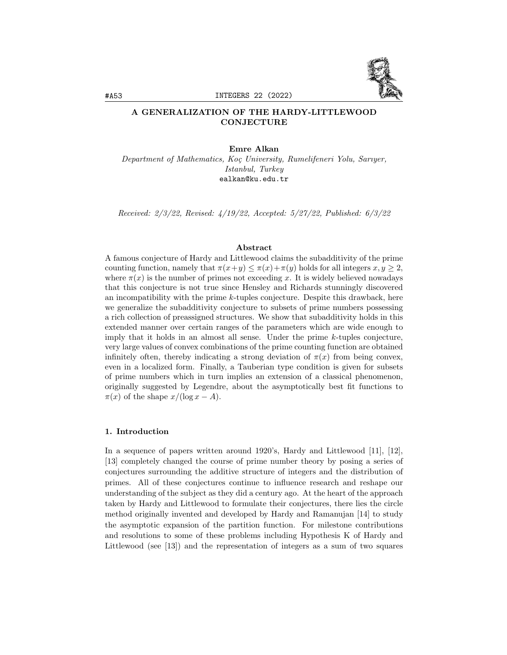

# A GENERALIZATION OF THE HARDY-LITTLEWOOD **CONJECTURE**

#### Emre Alkan

Department of Mathematics, Koç University, Rumelifeneri Yolu, Sarıyer, Istanbul, Turkey ealkan@ku.edu.tr

Received: 2/3/22, Revised: 4/19/22, Accepted: 5/27/22, Published: 6/3/22

#### Abstract

A famous conjecture of Hardy and Littlewood claims the subadditivity of the prime counting function, namely that  $\pi(x+y) \leq \pi(x)+\pi(y)$  holds for all integers  $x, y \geq 2$ , where  $\pi(x)$  is the number of primes not exceeding x. It is widely believed nowadays that this conjecture is not true since Hensley and Richards stunningly discovered an incompatibility with the prime  $k$ -tuples conjecture. Despite this drawback, here we generalize the subadditivity conjecture to subsets of prime numbers possessing a rich collection of preassigned structures. We show that subadditivity holds in this extended manner over certain ranges of the parameters which are wide enough to imply that it holds in an almost all sense. Under the prime k-tuples conjecture, very large values of convex combinations of the prime counting function are obtained infinitely often, thereby indicating a strong deviation of  $\pi(x)$  from being convex, even in a localized form. Finally, a Tauberian type condition is given for subsets of prime numbers which in turn implies an extension of a classical phenomenon, originally suggested by Legendre, about the asymptotically best fit functions to  $\pi(x)$  of the shape  $x/(\log x - A)$ .

#### 1. Introduction

In a sequence of papers written around 1920's, Hardy and Littlewood [11], [12], [13] completely changed the course of prime number theory by posing a series of conjectures surrounding the additive structure of integers and the distribution of primes. All of these conjectures continue to influence research and reshape our understanding of the subject as they did a century ago. At the heart of the approach taken by Hardy and Littlewood to formulate their conjectures, there lies the circle method originally invented and developed by Hardy and Ramanujan [14] to study the asymptotic expansion of the partition function. For milestone contributions and resolutions to some of these problems including Hypothesis K of Hardy and Littlewood (see [13]) and the representation of integers as a sum of two squares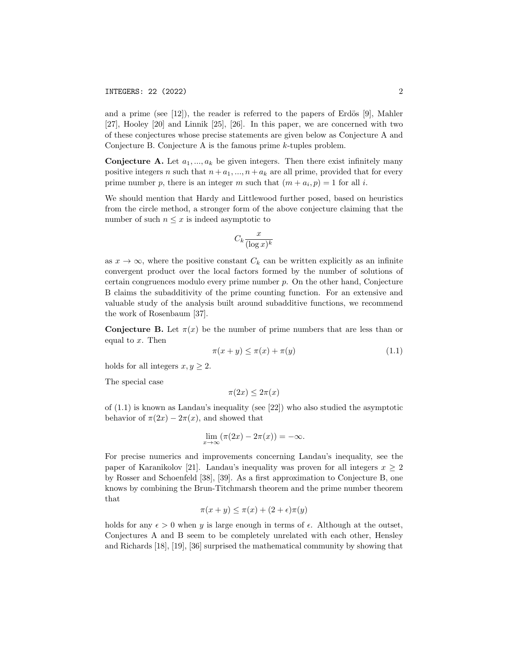and a prime (see  $[12]$ ), the reader is referred to the papers of Erdös  $[9]$ , Mahler [27], Hooley [20] and Linnik [25], [26]. In this paper, we are concerned with two of these conjectures whose precise statements are given below as Conjecture A and Conjecture B. Conjecture A is the famous prime k-tuples problem.

**Conjecture A.** Let  $a_1, ..., a_k$  be given integers. Then there exist infinitely many positive integers n such that  $n + a_1, ..., n + a_k$  are all prime, provided that for every prime number p, there is an integer m such that  $(m + a_i, p) = 1$  for all i.

We should mention that Hardy and Littlewood further posed, based on heuristics from the circle method, a stronger form of the above conjecture claiming that the number of such  $n \leq x$  is indeed asymptotic to

$$
C_k \frac{x}{(\log x)^k}
$$

as  $x \to \infty$ , where the positive constant  $C_k$  can be written explicitly as an infinite convergent product over the local factors formed by the number of solutions of certain congruences modulo every prime number  $p$ . On the other hand, Conjecture B claims the subadditivity of the prime counting function. For an extensive and valuable study of the analysis built around subadditive functions, we recommend the work of Rosenbaum [37].

**Conjecture B.** Let  $\pi(x)$  be the number of prime numbers that are less than or equal to  $x$ . Then

$$
\pi(x+y) \le \pi(x) + \pi(y) \tag{1.1}
$$

holds for all integers  $x, y \geq 2$ .

The special case

$$
\pi(2x) \le 2\pi(x)
$$

of  $(1.1)$  is known as Landau's inequality (see [22]) who also studied the asymptotic behavior of  $\pi(2x) - 2\pi(x)$ , and showed that

$$
\lim_{x \to \infty} (\pi(2x) - 2\pi(x)) = -\infty.
$$

For precise numerics and improvements concerning Landau's inequality, see the paper of Karanikolov [21]. Landau's inequality was proven for all integers  $x \geq 2$ by Rosser and Schoenfeld [38], [39]. As a first approximation to Conjecture B, one knows by combining the Brun-Titchmarsh theorem and the prime number theorem that

$$
\pi(x+y) \le \pi(x) + (2+\epsilon)\pi(y)
$$

holds for any  $\epsilon > 0$  when y is large enough in terms of  $\epsilon$ . Although at the outset, Conjectures A and B seem to be completely unrelated with each other, Hensley and Richards [18], [19], [36] surprised the mathematical community by showing that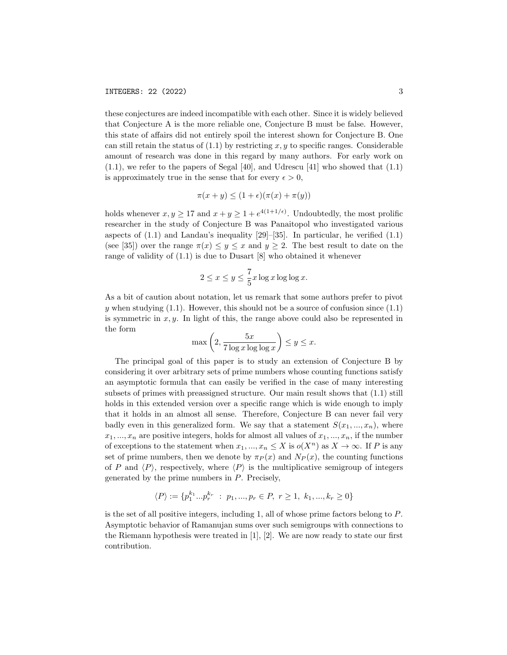these conjectures are indeed incompatible with each other. Since it is widely believed that Conjecture A is the more reliable one, Conjecture B must be false. However, this state of affairs did not entirely spoil the interest shown for Conjecture B. One can still retain the status of  $(1.1)$  by restricting x, y to specific ranges. Considerable amount of research was done in this regard by many authors. For early work on (1.1), we refer to the papers of Segal [40], and Udrescu [41] who showed that (1.1) is approximately true in the sense that for every  $\epsilon > 0$ ,

$$
\pi(x+y) \le (1+\epsilon)(\pi(x)+\pi(y))
$$

holds whenever  $x, y \geq 17$  and  $x + y \geq 1 + e^{4(1+1/\epsilon)}$ . Undoubtedly, the most prolific researcher in the study of Conjecture B was Panaitopol who investigated various aspects of  $(1.1)$  and Landau's inequality  $[29]$ – $[35]$ . In particular, he verified  $(1.1)$ (see [35]) over the range  $\pi(x) \leq y \leq x$  and  $y \geq 2$ . The best result to date on the range of validity of (1.1) is due to Dusart [8] who obtained it whenever

$$
2 \le x \le y \le \frac{7}{5}x \log x \log \log x.
$$

As a bit of caution about notation, let us remark that some authors prefer to pivot y when studying  $(1.1)$ . However, this should not be a source of confusion since  $(1.1)$ is symmetric in  $x, y$ . In light of this, the range above could also be represented in the form

$$
\max\left(2, \frac{5x}{7\log x \log\log x}\right) \le y \le x.
$$

The principal goal of this paper is to study an extension of Conjecture B by considering it over arbitrary sets of prime numbers whose counting functions satisfy an asymptotic formula that can easily be verified in the case of many interesting subsets of primes with preassigned structure. Our main result shows that (1.1) still holds in this extended version over a specific range which is wide enough to imply that it holds in an almost all sense. Therefore, Conjecture B can never fail very badly even in this generalized form. We say that a statement  $S(x_1, ..., x_n)$ , where  $x_1, ..., x_n$  are positive integers, holds for almost all values of  $x_1, ..., x_n$ , if the number of exceptions to the statement when  $x_1, ..., x_n \leq X$  is  $o(X^n)$  as  $X \to \infty$ . If P is any set of prime numbers, then we denote by  $\pi_P(x)$  and  $N_P(x)$ , the counting functions of P and  $\langle P \rangle$ , respectively, where  $\langle P \rangle$  is the multiplicative semigroup of integers generated by the prime numbers in P. Precisely,

$$
\langle P \rangle := \{p_1^{k_1}...p_r^{k_r} : p_1,...,p_r \in P, r \ge 1, k_1,...,k_r \ge 0\}
$$

is the set of all positive integers, including 1, all of whose prime factors belong to P. Asymptotic behavior of Ramanujan sums over such semigroups with connections to the Riemann hypothesis were treated in [1], [2]. We are now ready to state our first contribution.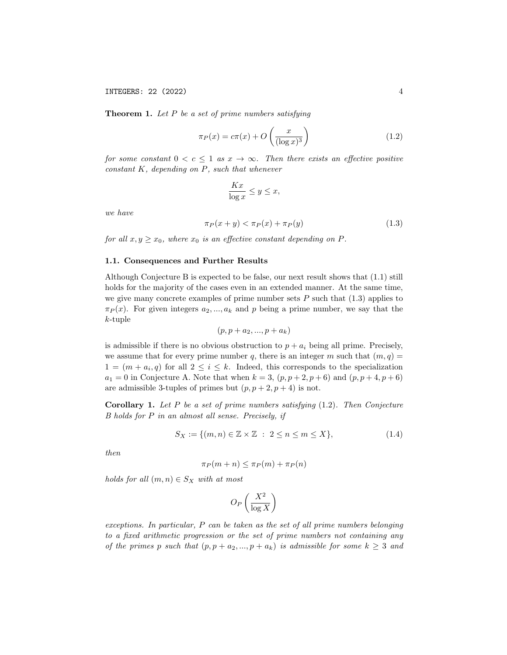**Theorem 1.** Let  $P$  be a set of prime numbers satisfying

$$
\pi_P(x) = c\pi(x) + O\left(\frac{x}{(\log x)^3}\right) \tag{1.2}
$$

for some constant  $0 < c \leq 1$  as  $x \to \infty$ . Then there exists an effective positive  $constant K$ , depending on  $P$ , such that whenever

$$
\frac{Kx}{\log x} \le y \le x,
$$

we have

$$
\pi_P(x+y) < \pi_P(x) + \pi_P(y) \tag{1.3}
$$

for all  $x, y \geq x_0$ , where  $x_0$  is an effective constant depending on P.

## 1.1. Consequences and Further Results

Although Conjecture B is expected to be false, our next result shows that (1.1) still holds for the majority of the cases even in an extended manner. At the same time, we give many concrete examples of prime number sets  $P$  such that  $(1.3)$  applies to  $\pi_P(x)$ . For given integers  $a_2, ..., a_k$  and p being a prime number, we say that the  $k$ -tuple

$$
(p, p+a_2, ..., p+a_k)
$$

is admissible if there is no obvious obstruction to  $p + a_i$  being all prime. Precisely, we assume that for every prime number q, there is an integer m such that  $(m, q)$  =  $1 = (m + a_i, q)$  for all  $2 \leq i \leq k$ . Indeed, this corresponds to the specialization  $a_1 = 0$  in Conjecture A. Note that when  $k = 3, (p, p + 2, p + 6)$  and  $(p, p + 4, p + 6)$ are admissible 3-tuples of primes but  $(p, p + 2, p + 4)$  is not.

**Corollary 1.** Let  $P$  be a set of prime numbers satisfying  $(1.2)$ . Then Conjecture B holds for P in an almost all sense. Precisely, if

$$
S_X := \{ (m, n) \in \mathbb{Z} \times \mathbb{Z} \; : \; 2 \le n \le m \le X \},\tag{1.4}
$$

then

$$
\pi_P(m+n) \le \pi_P(m) + \pi_P(n)
$$

holds for all  $(m, n) \in S_X$  with at most

$$
O_P\left(\frac{X^2}{\log X}\right)
$$

exceptions. In particular, P can be taken as the set of all prime numbers belonging to a fixed arithmetic progression or the set of prime numbers not containing any of the primes p such that  $(p, p + a_2, ..., p + a_k)$  is admissible for some  $k \geq 3$  and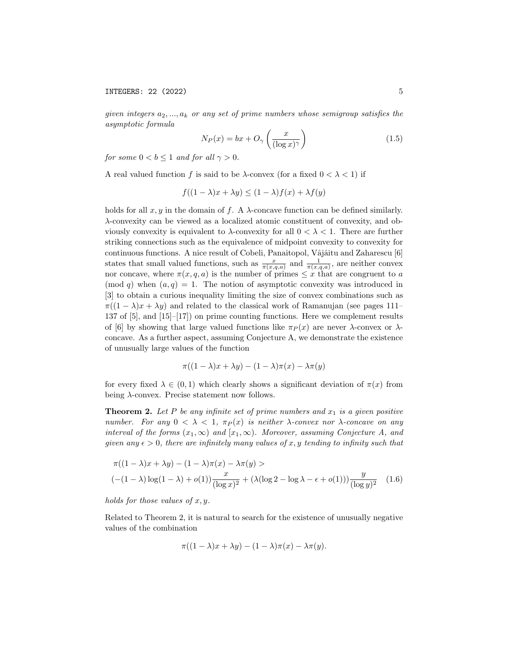given integers  $a_2, ..., a_k$  or any set of prime numbers whose semigroup satisfies the asymptotic formula

$$
N_P(x) = bx + O_\gamma\left(\frac{x}{(\log x)^\gamma}\right) \tag{1.5}
$$

for some  $0 < b \leq 1$  and for all  $\gamma > 0$ .

A real valued function f is said to be  $\lambda$ -convex (for a fixed  $0 < \lambda < 1$ ) if

$$
f((1 - \lambda)x + \lambda y) \le (1 - \lambda)f(x) + \lambda f(y)
$$

holds for all  $x, y$  in the domain of f. A  $\lambda$ -concave function can be defined similarly. λ-convexity can be viewed as a localized atomic constituent of convexity, and obviously convexity is equivalent to  $\lambda$ -convexity for all  $0 < \lambda < 1$ . There are further striking connections such as the equivalence of midpoint convexity to convexity for continuous functions. A nice result of Cobeli, Panaitopol, Vâjâitu and Zaharescu [6] states that small valued functions, such as  $\frac{x}{\pi(x,q,a)}$  and  $\frac{1}{\pi(x,q,a)}$ , are neither convex nor concave, where  $\pi(x, q, a)$  is the number of primes  $\leq x$  that are congruent to a (mod q) when  $(a, q) = 1$ . The notion of asymptotic convexity was introduced in [3] to obtain a curious inequality limiting the size of convex combinations such as  $\pi((1 - \lambda)x + \lambda y)$  and related to the classical work of Ramanujan (see pages 111– 137 of [5], and [15]–[17]) on prime counting functions. Here we complement results of [6] by showing that large valued functions like  $\pi_P (x)$  are never  $\lambda$ -convex or  $\lambda$ concave. As a further aspect, assuming Conjecture A, we demonstrate the existence of unusually large values of the function

$$
\pi((1 - \lambda)x + \lambda y) - (1 - \lambda)\pi(x) - \lambda\pi(y)
$$

for every fixed  $\lambda \in (0,1)$  which clearly shows a significant deviation of  $\pi(x)$  from being  $\lambda$ -convex. Precise statement now follows.

**Theorem 2.** Let P be any infinite set of prime numbers and  $x_1$  is a given positive number. For any  $0 < \lambda < 1$ ,  $\pi_P(x)$  is neither  $\lambda$ -convex nor  $\lambda$ -concave on any interval of the forms  $(x_1, \infty)$  and  $[x_1, \infty)$ . Moreover, assuming Conjecture A, and given any  $\epsilon > 0$ , there are infinitely many values of x, y tending to infinity such that

$$
\pi((1-\lambda)x + \lambda y) - (1-\lambda)\pi(x) - \lambda\pi(y) >
$$
  

$$
(- (1-\lambda)\log(1-\lambda) + o(1))\frac{x}{(\log x)^2} + (\lambda(\log 2 - \log \lambda - \epsilon + o(1)))\frac{y}{(\log y)^2}
$$
 (1.6)

holds for those values of  $x, y$ .

Related to Theorem 2, it is natural to search for the existence of unusually negative values of the combination

$$
\pi((1 - \lambda)x + \lambda y) - (1 - \lambda)\pi(x) - \lambda \pi(y).
$$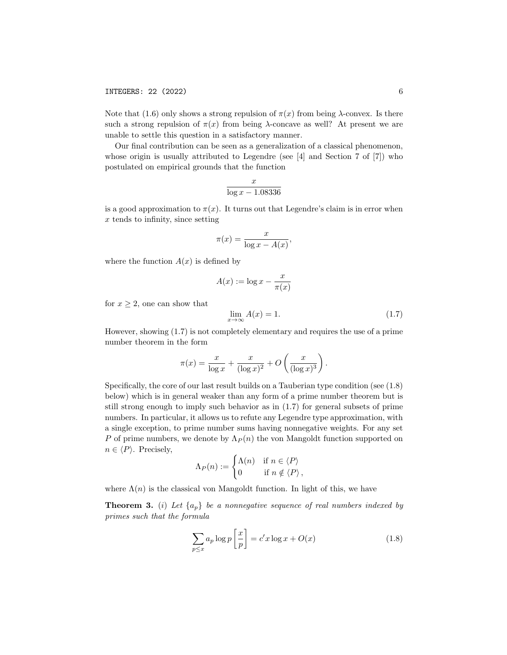Note that (1.6) only shows a strong repulsion of  $\pi(x)$  from being  $\lambda$ -convex. Is there such a strong repulsion of  $\pi(x)$  from being  $\lambda$ -concave as well? At present we are unable to settle this question in a satisfactory manner.

Our final contribution can be seen as a generalization of a classical phenomenon, whose origin is usually attributed to Legendre (see [4] and Section 7 of [7]) who postulated on empirical grounds that the function

$$
\frac{x}{\log x - 1.08336}
$$

is a good approximation to  $\pi(x)$ . It turns out that Legendre's claim is in error when  $x$  tends to infinity, since setting

$$
\pi(x) = \frac{x}{\log x - A(x)},
$$

where the function  $A(x)$  is defined by

$$
A(x) := \log x - \frac{x}{\pi(x)}
$$

for  $x \geq 2$ , one can show that

$$
\lim_{x \to \infty} A(x) = 1. \tag{1.7}
$$

However, showing (1.7) is not completely elementary and requires the use of a prime number theorem in the form

$$
\pi(x) = \frac{x}{\log x} + \frac{x}{(\log x)^2} + O\left(\frac{x}{(\log x)^3}\right).
$$

Specifically, the core of our last result builds on a Tauberian type condition (see (1.8) below) which is in general weaker than any form of a prime number theorem but is still strong enough to imply such behavior as in (1.7) for general subsets of prime numbers. In particular, it allows us to refute any Legendre type approximation, with a single exception, to prime number sums having nonnegative weights. For any set P of prime numbers, we denote by  $\Lambda_P(n)$  the von Mangoldt function supported on  $n \in \langle P \rangle$ . Precisely,

$$
\Lambda_P(n) := \begin{cases} \Lambda(n) & \text{if } n \in \langle P \rangle \\ 0 & \text{if } n \notin \langle P \rangle \end{cases}
$$

where  $\Lambda(n)$  is the classical von Mangoldt function. In light of this, we have

**Theorem 3.** (i) Let  $\{a_n\}$  be a nonnegative sequence of real numbers indexed by primes such that the formula

$$
\sum_{p \le x} a_p \log p \left[ \frac{x}{p} \right] = c' x \log x + O(x) \tag{1.8}
$$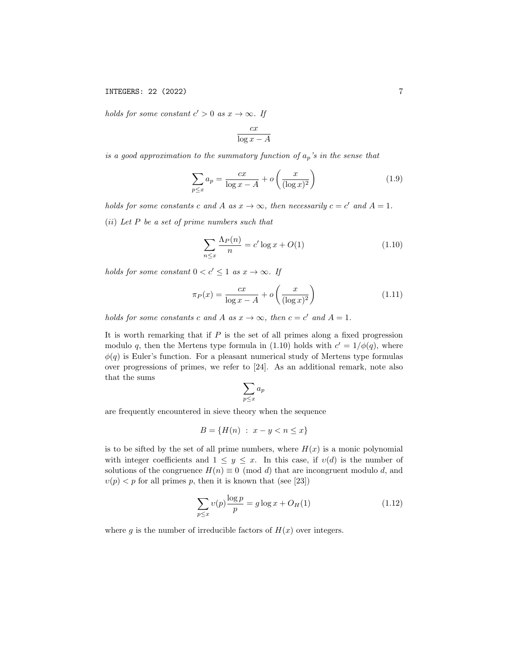holds for some constant  $c' > 0$  as  $x \to \infty$ . If

$$
\frac{cx}{\log x - A}
$$

is a good approximation to the summatory function of  $a_p$ 's in the sense that

$$
\sum_{p\leq x} a_p = \frac{cx}{\log x - A} + o\left(\frac{x}{(\log x)^2}\right) \tag{1.9}
$$

holds for some constants c and A as  $x \to \infty$ , then necessarily  $c = c'$  and  $A = 1$ . (ii) Let P be a set of prime numbers such that

$$
\sum_{n \le x} \frac{\Lambda_P(n)}{n} = c' \log x + O(1) \tag{1.10}
$$

holds for some constant  $0 < c' \leq 1$  as  $x \to \infty$ . If

$$
\pi_P(x) = \frac{cx}{\log x - A} + o\left(\frac{x}{(\log x)^2}\right) \tag{1.11}
$$

holds for some constants c and A as  $x \to \infty$ , then  $c = c'$  and  $A = 1$ .

It is worth remarking that if  $P$  is the set of all primes along a fixed progression modulo q, then the Mertens type formula in (1.10) holds with  $c' = 1/\phi(q)$ , where  $\phi(q)$  is Euler's function. For a pleasant numerical study of Mertens type formulas over progressions of primes, we refer to [24]. As an additional remark, note also that the sums

$$
\sum_{p\leq x} a_p
$$

are frequently encountered in sieve theory when the sequence

$$
B = \{H(n) : x - y < n \le x\}
$$

is to be sifted by the set of all prime numbers, where  $H(x)$  is a monic polynomial with integer coefficients and  $1 \leq y \leq x$ . In this case, if  $v(d)$  is the number of solutions of the congruence  $H(n) \equiv 0 \pmod{d}$  that are incongruent modulo d, and  $v(p) < p$  for all primes p, then it is known that (see [23])

$$
\sum_{p \le x} v(p) \frac{\log p}{p} = g \log x + O_H(1)
$$
\n(1.12)

where g is the number of irreducible factors of  $H(x)$  over integers.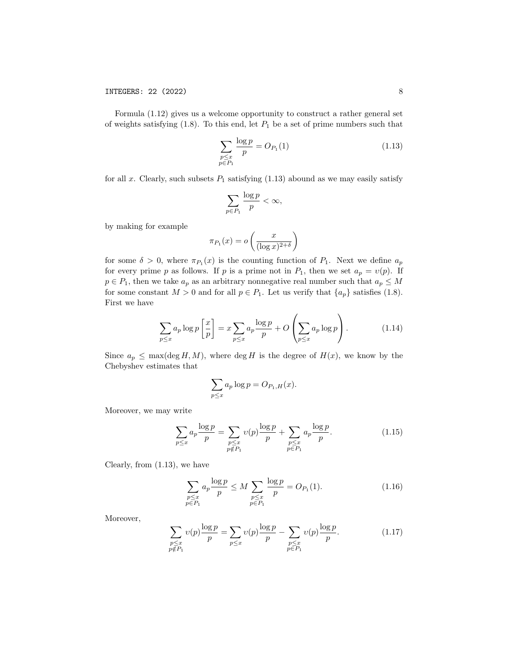Formula (1.12) gives us a welcome opportunity to construct a rather general set of weights satisfying  $(1.8)$ . To this end, let  $P_1$  be a set of prime numbers such that

$$
\sum_{\substack{p \le x \\ p \in P_1}} \frac{\log p}{p} = O_{P_1}(1) \tag{1.13}
$$

for all x. Clearly, such subsets  $P_1$  satisfying (1.13) abound as we may easily satisfy

$$
\sum_{p \in P_1} \frac{\log p}{p} < \infty,
$$

by making for example

$$
\pi_{P_1}(x) = o\left(\frac{x}{(\log x)^{2+\delta}}\right)
$$

for some  $\delta > 0$ , where  $\pi_{P_1}(x)$  is the counting function of  $P_1$ . Next we define  $a_p$ for every prime p as follows. If p is a prime not in  $P_1$ , then we set  $a_p = v(p)$ . If  $p \in P_1$ , then we take  $a_p$  as an arbitrary nonnegative real number such that  $a_p \leq M$ for some constant  $M > 0$  and for all  $p \in P_1$ . Let us verify that  $\{a_p\}$  satisfies (1.8). First we have

$$
\sum_{p \le x} a_p \log p \left[ \frac{x}{p} \right] = x \sum_{p \le x} a_p \frac{\log p}{p} + O\left(\sum_{p \le x} a_p \log p\right). \tag{1.14}
$$

Since  $a_p \leq \max(\deg H, M)$ , where  $\deg H$  is the degree of  $H(x)$ , we know by the Chebyshev estimates that

$$
\sum_{p \le x} a_p \log p = O_{P_1,H}(x).
$$

Moreover, we may write

$$
\sum_{p \le x} a_p \frac{\log p}{p} = \sum_{\substack{p \le x \\ p \notin P_1}} v(p) \frac{\log p}{p} + \sum_{\substack{p \le x \\ p \in P_1}} a_p \frac{\log p}{p}.
$$
 (1.15)

Clearly, from (1.13), we have

$$
\sum_{\substack{p \le x \\ p \in P_1}} a_p \frac{\log p}{p} \le M \sum_{\substack{p \le x \\ p \in P_1}} \frac{\log p}{p} = O_{P_1}(1). \tag{1.16}
$$

Moreover,

$$
\sum_{\substack{p \le x \\ p \notin P_1}} v(p) \frac{\log p}{p} = \sum_{p \le x} v(p) \frac{\log p}{p} - \sum_{\substack{p \le x \\ p \in P_1}} v(p) \frac{\log p}{p}.
$$
\n(1.17)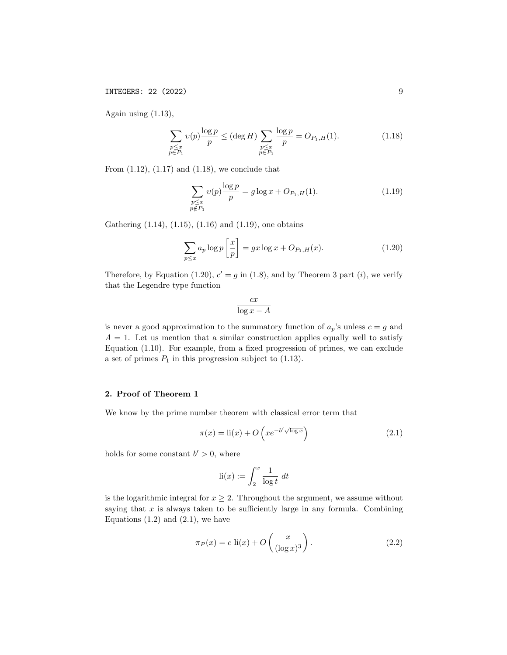Again using  $(1.13)$ ,

$$
\sum_{\substack{p \le x \\ p \in P_1}} v(p) \frac{\log p}{p} \le (\deg H) \sum_{\substack{p \le x \\ p \in P_1}} \frac{\log p}{p} = O_{P_1, H}(1). \tag{1.18}
$$

From  $(1.12)$ ,  $(1.17)$  and  $(1.18)$ , we conclude that

$$
\sum_{\substack{p \le x \\ p \notin P_1}} v(p) \frac{\log p}{p} = g \log x + O_{P_1, H}(1).
$$
\n(1.19)

Gathering (1.14), (1.15), (1.16) and (1.19), one obtains

$$
\sum_{p \le x} a_p \log p \left[ \frac{x}{p} \right] = gx \log x + O_{P_1, H}(x). \tag{1.20}
$$

Therefore, by Equation (1.20),  $c' = g$  in (1.8), and by Theorem 3 part (*i*), we verify that the Legendre type function

$$
\frac{cx}{\log x - A}
$$

is never a good approximation to the summatory function of  $a_p$ 's unless  $c = g$  and  $A = 1$ . Let us mention that a similar construction applies equally well to satisfy Equation (1.10). For example, from a fixed progression of primes, we can exclude a set of primes  $P_1$  in this progression subject to  $(1.13)$ .

## 2. Proof of Theorem 1

We know by the prime number theorem with classical error term that

$$
\pi(x) = \text{li}(x) + O\left(x e^{-b' \sqrt{\log x}}\right)
$$
\n(2.1)

holds for some constant  $b' > 0$ , where

$$
\mathrm{li}(x) := \int_2^x \frac{1}{\log t} \ dt
$$

is the logarithmic integral for  $x \geq 2$ . Throughout the argument, we assume without saying that  $x$  is always taken to be sufficiently large in any formula. Combining Equations  $(1.2)$  and  $(2.1)$ , we have

$$
\pi_P(x) = c \operatorname{li}(x) + O\left(\frac{x}{(\log x)^3}\right). \tag{2.2}
$$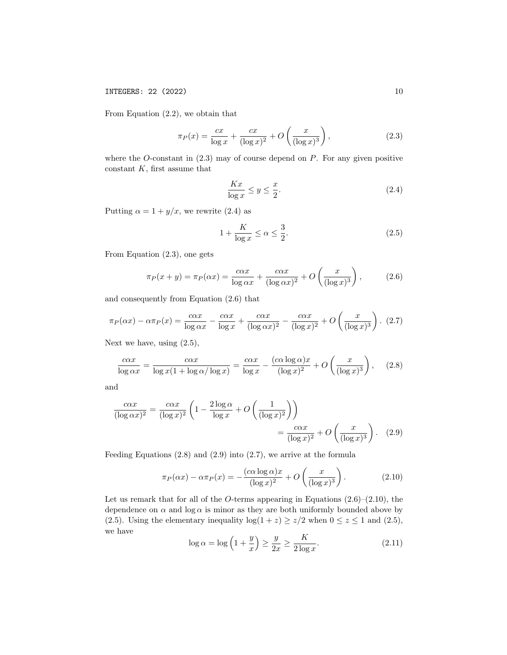From Equation (2.2), we obtain that

$$
\pi_P(x) = \frac{cx}{\log x} + \frac{cx}{(\log x)^2} + O\left(\frac{x}{(\log x)^3}\right),\tag{2.3}
$$

where the  $O$ -constant in  $(2.3)$  may of course depend on  $P$ . For any given positive constant  $K$ , first assume that

$$
\frac{Kx}{\log x} \le y \le \frac{x}{2}.\tag{2.4}
$$

Putting  $\alpha = 1 + y/x$ , we rewrite (2.4) as

$$
1 + \frac{K}{\log x} \le \alpha \le \frac{3}{2}.\tag{2.5}
$$

From Equation (2.3), one gets

$$
\pi_P(x+y) = \pi_P(\alpha x) = \frac{c\alpha x}{\log \alpha x} + \frac{c\alpha x}{(\log \alpha x)^2} + O\left(\frac{x}{(\log x)^3}\right),\tag{2.6}
$$

and consequently from Equation (2.6) that

$$
\pi_P(\alpha x) - \alpha \pi_P(x) = \frac{c\alpha x}{\log \alpha x} - \frac{c\alpha x}{\log x} + \frac{c\alpha x}{(\log \alpha x)^2} - \frac{c\alpha x}{(\log x)^2} + O\left(\frac{x}{(\log x)^3}\right). (2.7)
$$

Next we have, using (2.5),

$$
\frac{c\alpha x}{\log \alpha x} = \frac{c\alpha x}{\log x (1 + \log \alpha / \log x)} = \frac{c\alpha x}{\log x} - \frac{(c\alpha \log \alpha)x}{(\log x)^2} + O\left(\frac{x}{(\log x)^3}\right),\tag{2.8}
$$

and

$$
\frac{c\alpha x}{(\log \alpha x)^2} = \frac{c\alpha x}{(\log x)^2} \left( 1 - \frac{2\log \alpha}{\log x} + O\left(\frac{1}{(\log x)^2}\right) \right)
$$

$$
= \frac{c\alpha x}{(\log x)^2} + O\left(\frac{x}{(\log x)^3}\right). \quad (2.9)
$$

Feeding Equations (2.8) and (2.9) into (2.7), we arrive at the formula

$$
\pi_P(\alpha x) - \alpha \pi_P(x) = -\frac{(c\alpha \log \alpha)x}{(\log x)^2} + O\left(\frac{x}{(\log x)^3}\right). \tag{2.10}
$$

Let us remark that for all of the O-terms appearing in Equations  $(2.6)$ – $(2.10)$ , the dependence on  $\alpha$  and  $\log \alpha$  is minor as they are both uniformly bounded above by (2.5). Using the elementary inequality  $log(1 + z) \ge z/2$  when  $0 \le z \le 1$  and (2.5), we have

$$
\log \alpha = \log \left( 1 + \frac{y}{x} \right) \ge \frac{y}{2x} \ge \frac{K}{2 \log x}.
$$
\n(2.11)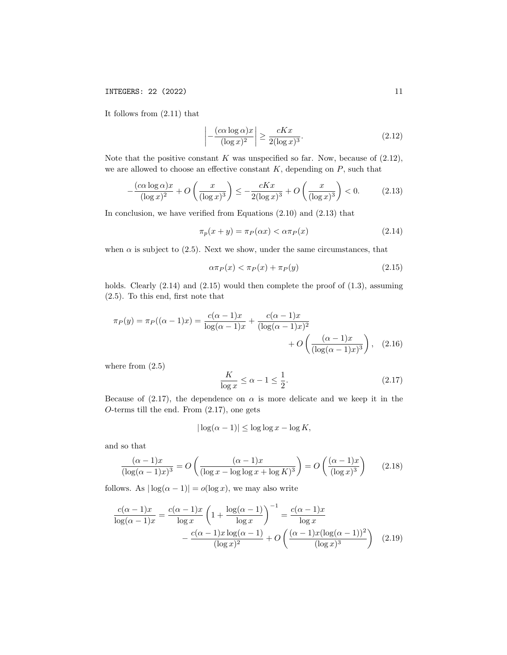It follows from (2.11) that

$$
\left| -\frac{(c\alpha\log\alpha)x}{(\log x)^2} \right| \ge \frac{cKx}{2(\log x)^3}.
$$
\n(2.12)

Note that the positive constant  $K$  was unspecified so far. Now, because of  $(2.12)$ , we are allowed to choose an effective constant  $K$ , depending on  $P$ , such that

$$
-\frac{(c\alpha\log\alpha)x}{(\log x)^2} + O\left(\frac{x}{(\log x)^3}\right) \le -\frac{cKx}{2(\log x)^3} + O\left(\frac{x}{(\log x)^3}\right) < 0. \tag{2.13}
$$

In conclusion, we have verified from Equations (2.10) and (2.13) that

$$
\pi_p(x+y) = \pi_P(\alpha x) < \alpha \pi_P(x) \tag{2.14}
$$

when  $\alpha$  is subject to (2.5). Next we show, under the same circumstances, that

$$
\alpha \pi_P(x) < \pi_P(x) + \pi_P(y) \tag{2.15}
$$

holds. Clearly  $(2.14)$  and  $(2.15)$  would then complete the proof of  $(1.3)$ , assuming (2.5). To this end, first note that

$$
\pi_P(y) = \pi_P((\alpha - 1)x) = \frac{c(\alpha - 1)x}{\log(\alpha - 1)x} + \frac{c(\alpha - 1)x}{(\log(\alpha - 1)x)^2} + O\left(\frac{(\alpha - 1)x}{(\log(\alpha - 1)x)^3}\right), \quad (2.16)
$$

where from  $(2.5)$ 

$$
\frac{K}{\log x} \le \alpha - 1 \le \frac{1}{2}.\tag{2.17}
$$

Because of (2.17), the dependence on  $\alpha$  is more delicate and we keep it in the O-terms till the end. From (2.17), one gets

$$
|\log(\alpha - 1)| \le \log \log x - \log K,
$$

and so that

$$
\frac{(\alpha - 1)x}{(\log(\alpha - 1)x)^3} = O\left(\frac{(\alpha - 1)x}{(\log x - \log \log x + \log K)^3}\right) = O\left(\frac{(\alpha - 1)x}{(\log x)^3}\right) \tag{2.18}
$$

follows. As  $|\log(\alpha - 1)| = o(\log x)$ , we may also write

$$
\frac{c(\alpha - 1)x}{\log(\alpha - 1)x} = \frac{c(\alpha - 1)x}{\log x} \left( 1 + \frac{\log(\alpha - 1)}{\log x} \right)^{-1} = \frac{c(\alpha - 1)x}{\log x} \n- \frac{c(\alpha - 1)x \log(\alpha - 1)}{(\log x)^2} + O\left( \frac{(\alpha - 1)x (\log(\alpha - 1))^2}{(\log x)^3} \right)
$$
(2.19)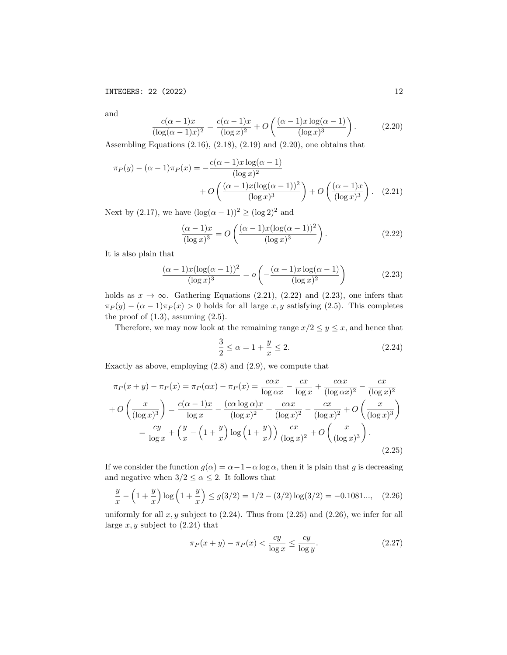and

$$
\frac{c(\alpha - 1)x}{(\log(\alpha - 1)x)^2} = \frac{c(\alpha - 1)x}{(\log x)^2} + O\left(\frac{(\alpha - 1)x \log(\alpha - 1)}{(\log x)^3}\right).
$$
 (2.20)

Assembling Equations (2.16), (2.18), (2.19) and (2.20), one obtains that

$$
\pi_P(y) - (\alpha - 1)\pi_P(x) = -\frac{c(\alpha - 1)x\log(\alpha - 1)}{(\log x)^2} + O\left(\frac{(\alpha - 1)x(\log(\alpha - 1))^2}{(\log x)^3}\right) + O\left(\frac{(\alpha - 1)x}{(\log x)^3}\right). \quad (2.21)
$$

Next by (2.17), we have  $(\log(\alpha - 1))^2 \ge (\log 2)^2$  and

$$
\frac{(\alpha - 1)x}{(\log x)^3} = O\left(\frac{(\alpha - 1)x(\log(\alpha - 1))^2}{(\log x)^3}\right). \tag{2.22}
$$

It is also plain that

$$
\frac{(\alpha - 1)x(\log(\alpha - 1))^2}{(\log x)^3} = o\left(-\frac{(\alpha - 1)x\log(\alpha - 1)}{(\log x)^2}\right) \tag{2.23}
$$

holds as  $x \to \infty$ . Gathering Equations (2.21), (2.22) and (2.23), one infers that  $\pi_P(y) - (\alpha - 1)\pi_P(x) > 0$  holds for all large x, y satisfying (2.5). This completes the proof of  $(1.3)$ , assuming  $(2.5)$ .

Therefore, we may now look at the remaining range  $x/2 \le y \le x$ , and hence that

$$
\frac{3}{2} \le \alpha = 1 + \frac{y}{x} \le 2. \tag{2.24}
$$

Exactly as above, employing (2.8) and (2.9), we compute that

$$
\pi_P(x + y) - \pi_P(x) = \pi_P(\alpha x) - \pi_P(x) = \frac{c\alpha x}{\log \alpha x} - \frac{cx}{\log x} + \frac{c\alpha x}{(\log \alpha x)^2} - \frac{cx}{(\log x)^2}
$$

$$
+ O\left(\frac{x}{(\log x)^3}\right) = \frac{c(\alpha - 1)x}{\log x} - \frac{(c\alpha \log \alpha)x}{(\log x)^2} + \frac{c\alpha x}{(\log x)^2} - \frac{cx}{(\log x)^2} + O\left(\frac{x}{(\log x)^3}\right)
$$

$$
= \frac{cy}{\log x} + \left(\frac{y}{x} - \left(1 + \frac{y}{x}\right)\log\left(1 + \frac{y}{x}\right)\right)\frac{cx}{(\log x)^2} + O\left(\frac{x}{(\log x)^3}\right).
$$
(2.25)

If we consider the function  $g(\alpha) = \alpha - 1 - \alpha \log \alpha$ , then it is plain that g is decreasing and negative when  $3/2 \leq \alpha \leq 2$ . It follows that

$$
\frac{y}{x} - \left(1 + \frac{y}{x}\right) \log\left(1 + \frac{y}{x}\right) \le g(3/2) = 1/2 - (3/2)\log(3/2) = -0.1081..., \quad (2.26)
$$

uniformly for all  $x, y$  subject to  $(2.24)$ . Thus from  $(2.25)$  and  $(2.26)$ , we infer for all large  $x, y$  subject to  $(2.24)$  that

$$
\pi_P(x+y) - \pi_P(x) < \frac{cy}{\log x} \le \frac{cy}{\log y}.\tag{2.27}
$$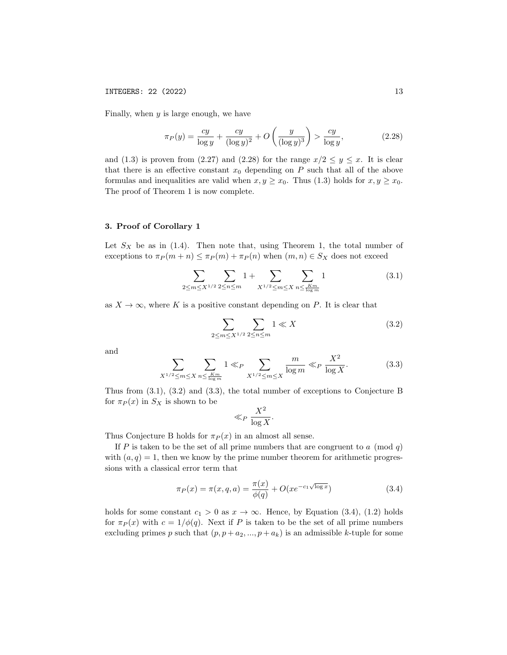Finally, when  $y$  is large enough, we have

$$
\pi_P(y) = \frac{cy}{\log y} + \frac{cy}{(\log y)^2} + O\left(\frac{y}{(\log y)^3}\right) > \frac{cy}{\log y},\tag{2.28}
$$

and (1.3) is proven from (2.27) and (2.28) for the range  $x/2 \le y \le x$ . It is clear that there is an effective constant  $x_0$  depending on P such that all of the above formulas and inequalities are valid when  $x, y \geq x_0$ . Thus (1.3) holds for  $x, y \geq x_0$ . The proof of Theorem 1 is now complete.

#### 3. Proof of Corollary 1

Let  $S_X$  be as in (1.4). Then note that, using Theorem 1, the total number of exceptions to  $\pi_P(m+n) \leq \pi_P(m) + \pi_P(n)$  when  $(m, n) \in S_X$  does not exceed

$$
\sum_{2 \le m \le X^{1/2}} \sum_{2 \le n \le m} 1 + \sum_{X^{1/2} \le m \le X} \sum_{n \le \frac{Km}{\log m}} 1 \tag{3.1}
$$

as  $X \to \infty$ , where K is a positive constant depending on P. It is clear that

$$
\sum_{2 \le m \le X^{1/2}} \sum_{2 \le n \le m} 1 \ll X \tag{3.2}
$$

and

$$
\sum_{X^{1/2} \le m \le X} \sum_{n \le \frac{Km}{\log m}} 1 \ll_P \sum_{X^{1/2} \le m \le X} \frac{m}{\log m} \ll_P \frac{X^2}{\log X}.
$$
 (3.3)

Thus from (3.1), (3.2) and (3.3), the total number of exceptions to Conjecture B for  $\pi_P(x)$  in  $S_X$  is shown to be

$$
\ll_P \frac{X^2}{\log X}.
$$

Thus Conjecture B holds for  $\pi_P(x)$  in an almost all sense.

If P is taken to be the set of all prime numbers that are congruent to a (mod q) with  $(a, q) = 1$ , then we know by the prime number theorem for arithmetic progressions with a classical error term that

$$
\pi_P(x) = \pi(x, q, a) = \frac{\pi(x)}{\phi(q)} + O(x e^{-c_1 \sqrt{\log x}})
$$
\n(3.4)

holds for some constant  $c_1 > 0$  as  $x \to \infty$ . Hence, by Equation (3.4), (1.2) holds for  $\pi_P(x)$  with  $c = 1/\phi(q)$ . Next if P is taken to be the set of all prime numbers excluding primes p such that  $(p, p + a_2, ..., p + a_k)$  is an admissible k-tuple for some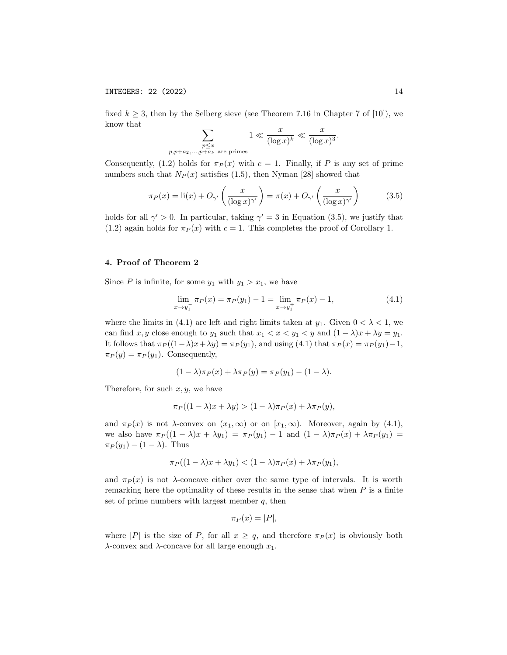$p,p$ 

fixed  $k \geq 3$ , then by the Selberg sieve (see Theorem 7.16 in Chapter 7 of [10]), we know that

$$
\sum_{\substack{p \le x \\ +a_2,\dots, p+a_k \text{ are primes}}} 1 \ll \frac{x}{(\log x)^k} \ll \frac{x}{(\log x)^3}.
$$

Consequently, (1.2) holds for  $\pi_P(x)$  with  $c = 1$ . Finally, if P is any set of prime numbers such that  $N_P(x)$  satisfies (1.5), then Nyman [28] showed that

$$
\pi_P(x) = \text{li}(x) + O_{\gamma'}\left(\frac{x}{(\log x)^{\gamma'}}\right) = \pi(x) + O_{\gamma'}\left(\frac{x}{(\log x)^{\gamma'}}\right) \tag{3.5}
$$

holds for all  $\gamma' > 0$ . In particular, taking  $\gamma' = 3$  in Equation (3.5), we justify that (1.2) again holds for  $\pi_P(x)$  with  $c = 1$ . This completes the proof of Corollary 1.

## 4. Proof of Theorem 2

Since P is infinite, for some  $y_1$  with  $y_1 > x_1$ , we have

$$
\lim_{x \to y_1^-} \pi_P(x) = \pi_P(y_1) - 1 = \lim_{x \to y_1^+} \pi_P(x) - 1,
$$
\n(4.1)

where the limits in (4.1) are left and right limits taken at  $y_1$ . Given  $0 < \lambda < 1$ , we can find x, y close enough to y<sub>1</sub> such that  $x_1 < x < y_1 < y$  and  $(1 - \lambda)x + \lambda y = y_1$ . It follows that  $\pi_P((1-\lambda)x+\lambda y) = \pi_P(y_1)$ , and using (4.1) that  $\pi_P(x) = \pi_P(y_1)-1$ ,  $\pi_P(y) = \pi_P(y_1)$ . Consequently,

$$
(1 - \lambda)\pi_P(x) + \lambda \pi_P(y) = \pi_P(y_1) - (1 - \lambda).
$$

Therefore, for such  $x, y$ , we have

$$
\pi_P((1 - \lambda)x + \lambda y) > (1 - \lambda)\pi_P(x) + \lambda \pi_P(y),
$$

and  $\pi_P(x)$  is not  $\lambda$ -convex on  $(x_1, \infty)$  or on  $[x_1, \infty)$ . Moreover, again by (4.1), we also have  $\pi_P((1 - \lambda)x + \lambda y_1) = \pi_P(y_1) - 1$  and  $(1 - \lambda)\pi_P(x) + \lambda \pi_P(y_1) =$  $\pi_P(y_1) - (1 - \lambda)$ . Thus

$$
\pi_P((1 - \lambda)x + \lambda y_1) < (1 - \lambda)\pi_P(x) + \lambda \pi_P(y_1),
$$

and  $\pi_P(x)$  is not  $\lambda$ -concave either over the same type of intervals. It is worth remarking here the optimality of these results in the sense that when  $P$  is a finite set of prime numbers with largest member  $q$ , then

$$
\pi_P(x) = |P|,
$$

where |P| is the size of P, for all  $x \geq q$ , and therefore  $\pi_P(x)$  is obviously both  $λ$ -convex and  $λ$ -concave for all large enough  $x_1$ .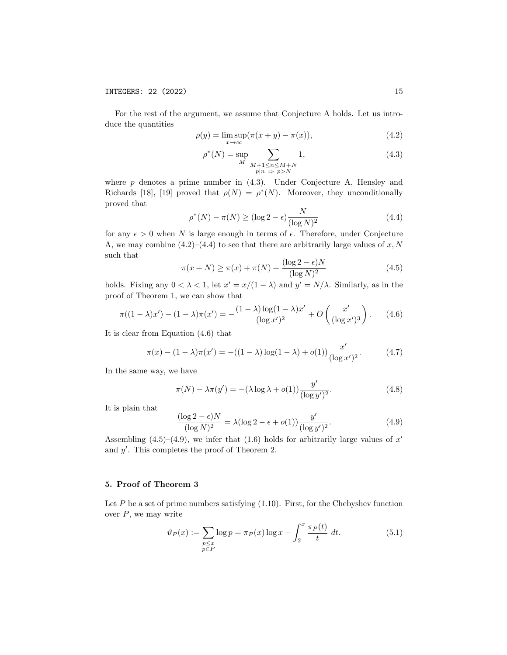For the rest of the argument, we assume that Conjecture A holds. Let us introduce the quantities

$$
\rho(y) = \limsup_{x \to \infty} (\pi(x + y) - \pi(x)), \tag{4.2}
$$

$$
\rho^*(N) = \sup_{M} \sum_{\substack{M+1 \le n \le M+N \\ p|n \implies p>N}} 1,
$$
\n(4.3)

where  $p$  denotes a prime number in  $(4.3)$ . Under Conjecture A, Hensley and Richards [18], [19] proved that  $\rho(N) = \rho^*(N)$ . Moreover, they unconditionally proved that

$$
\rho^*(N) - \pi(N) \ge (\log 2 - \epsilon) \frac{N}{(\log N)^2} \tag{4.4}
$$

for any  $\epsilon > 0$  when N is large enough in terms of  $\epsilon$ . Therefore, under Conjecture A, we may combine  $(4.2)$ – $(4.4)$  to see that there are arbitrarily large values of x, N such that

$$
\pi(x+N) \ge \pi(x) + \pi(N) + \frac{(\log 2 - \epsilon)N}{(\log N)^2}
$$
\n(4.5)

holds. Fixing any  $0 < \lambda < 1$ , let  $x' = x/(1 - \lambda)$  and  $y' = N/\lambda$ . Similarly, as in the proof of Theorem 1, we can show that

$$
\pi((1-\lambda)x') - (1-\lambda)\pi(x') = -\frac{(1-\lambda)\log(1-\lambda)x'}{(\log x')^{2}} + O\left(\frac{x'}{(\log x')^{3}}\right).
$$
 (4.6)

It is clear from Equation (4.6) that

$$
\pi(x) - (1 - \lambda)\pi(x') = -((1 - \lambda)\log(1 - \lambda) + o(1))\frac{x'}{(\log x')^{2}}.
$$
 (4.7)

In the same way, we have

$$
\pi(N) - \lambda \pi(y') = -(\lambda \log \lambda + o(1)) \frac{y'}{(\log y')^2}.
$$
\n(4.8)

It is plain that

$$
\frac{(\log 2 - \epsilon)N}{(\log N)^2} = \lambda (\log 2 - \epsilon + o(1)) \frac{y'}{(\log y')^2}.
$$
\n(4.9)

Assembling  $(4.5)$ – $(4.9)$ , we infer that  $(1.6)$  holds for arbitrarily large values of x' and  $y'$ . This completes the proof of Theorem 2.

### 5. Proof of Theorem 3

Let  $P$  be a set of prime numbers satisfying  $(1.10)$ . First, for the Chebyshev function over  $P$ , we may write

$$
\vartheta_P(x) := \sum_{\substack{p \le x \\ p \in P}} \log p = \pi_P(x) \log x - \int_2^x \frac{\pi_P(t)}{t} \, dt. \tag{5.1}
$$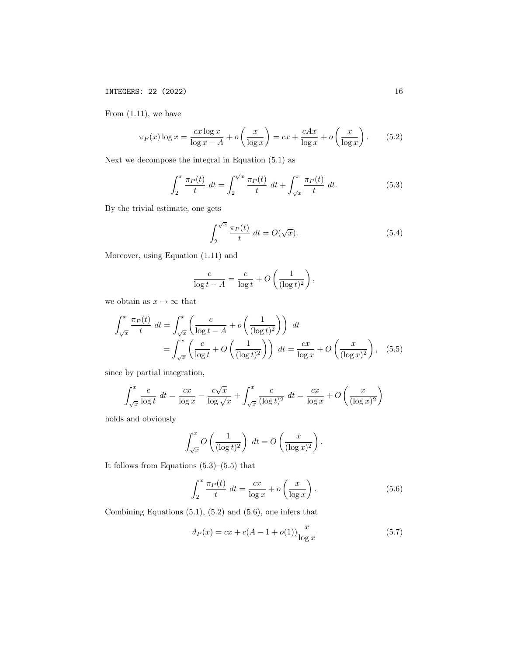From  $(1.11)$ , we have

$$
\pi_P(x) \log x = \frac{cx \log x}{\log x - A} + o\left(\frac{x}{\log x}\right) = cx + \frac{cAx}{\log x} + o\left(\frac{x}{\log x}\right). \tag{5.2}
$$

Next we decompose the integral in Equation (5.1) as

$$
\int_{2}^{x} \frac{\pi_{P}(t)}{t} dt = \int_{2}^{\sqrt{x}} \frac{\pi_{P}(t)}{t} dt + \int_{\sqrt{x}}^{x} \frac{\pi_{P}(t)}{t} dt.
$$
 (5.3)

By the trivial estimate, one gets

$$
\int_{2}^{\sqrt{x}} \frac{\pi_P(t)}{t} dt = O(\sqrt{x}).
$$
\n(5.4)

Moreover, using Equation (1.11) and

$$
\frac{c}{\log t - A} = \frac{c}{\log t} + O\left(\frac{1}{(\log t)^2}\right),\,
$$

we obtain as  $x \to \infty$  that

$$
\int_{\sqrt{x}}^{x} \frac{\pi_P(t)}{t} dt = \int_{\sqrt{x}}^{x} \left( \frac{c}{\log t - A} + o\left(\frac{1}{(\log t)^2}\right) \right) dt
$$

$$
= \int_{\sqrt{x}}^{x} \left( \frac{c}{\log t} + O\left(\frac{1}{(\log t)^2}\right) \right) dt = \frac{cx}{\log x} + O\left(\frac{x}{(\log x)^2}\right), \quad (5.5)
$$

since by partial integration,

$$
\int_{\sqrt{x}}^{x} \frac{c}{\log t} dt = \frac{cx}{\log x} - \frac{c\sqrt{x}}{\log \sqrt{x}} + \int_{\sqrt{x}}^{x} \frac{c}{(\log t)^2} dt = \frac{cx}{\log x} + O\left(\frac{x}{(\log x)^2}\right)
$$

holds and obviously

$$
\int_{\sqrt{x}}^{x} O\left(\frac{1}{(\log t)^2}\right) dt = O\left(\frac{x}{(\log x)^2}\right).
$$

It follows from Equations  $(5.3)$ – $(5.5)$  that

$$
\int_{2}^{x} \frac{\pi_{P}(t)}{t} dt = \frac{cx}{\log x} + o\left(\frac{x}{\log x}\right). \tag{5.6}
$$

Combining Equations (5.1), (5.2) and (5.6), one infers that

$$
\vartheta_P(x) = cx + c(A - 1 + o(1)) \frac{x}{\log x}
$$
\n(5.7)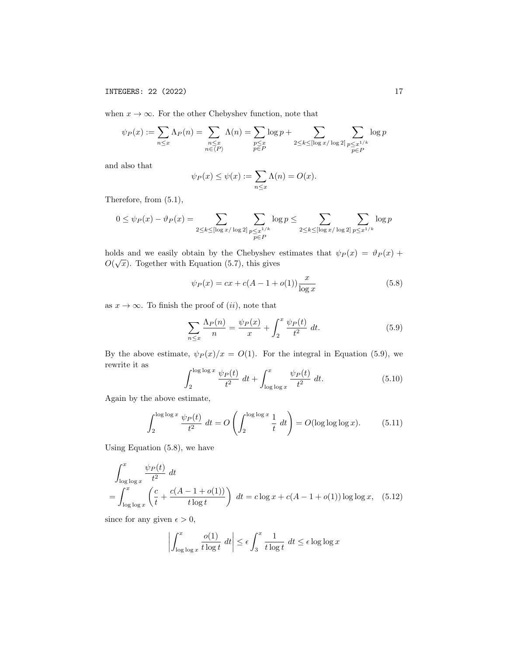when  $x \to \infty$ . For the other Chebyshev function, note that

$$
\psi_P(x) := \sum_{n \le x} \Lambda_P(n) = \sum_{\substack{n \le x \\ n \in \langle P \rangle}} \Lambda(n) = \sum_{\substack{p \le x \\ p \in P}} \log p + \sum_{\substack{2 \le k \le [\log x/\log 2] \\ p \in P}} \sum_{\substack{p \le x^{1/k} \\ p \in P}} \log p
$$

and also that

$$
\psi_P(x) \le \psi(x) := \sum_{n \le x} \Lambda(n) = O(x).
$$

Therefore, from (5.1),

$$
0 \leq \psi_P(x) - \vartheta_P(x) = \sum_{2 \leq k \leq [\log x/\log 2]} \sum_{\substack{p \leq x^{1/k} \\ p \in P}} \log p \leq \sum_{2 \leq k \leq [\log x/\log 2]} \sum_{p \leq x^{1/k}} \log p
$$

holds and we easily obtain by the Chebyshev estimates that  $\psi_P(x) = \vartheta_P(x) + \vartheta'(\widehat{x})$  $O(\sqrt{x})$ . Together with Equation (5.7), this gives

$$
\psi_P(x) = cx + c(A - 1 + o(1)) \frac{x}{\log x}
$$
\n(5.8)

as  $x \to \infty$ . To finish the proof of  $(ii)$ , note that

$$
\sum_{n \le x} \frac{\Lambda_P(n)}{n} = \frac{\psi_P(x)}{x} + \int_2^x \frac{\psi_P(t)}{t^2} dt.
$$
 (5.9)

By the above estimate,  $\psi_P(x)/x = O(1)$ . For the integral in Equation (5.9), we rewrite it as  $\log b$ 

$$
\int_{2}^{\log\log x} \frac{\psi_P(t)}{t^2} dt + \int_{\log\log x}^{x} \frac{\psi_P(t)}{t^2} dt.
$$
 (5.10)

Again by the above estimate,

$$
\int_{2}^{\log\log x} \frac{\psi_{P}(t)}{t^{2}} dt = O\left(\int_{2}^{\log\log x} \frac{1}{t} dt\right) = O(\log\log x). \tag{5.11}
$$

Using Equation (5.8), we have

$$
\int_{\log\log x}^{x} \frac{\psi_P(t)}{t^2} dt
$$
  
= 
$$
\int_{\log\log x}^{x} \left( \frac{c}{t} + \frac{c(A - 1 + o(1))}{t \log t} \right) dt = c \log x + c(A - 1 + o(1)) \log \log x, (5.12)
$$

since for any given  $\epsilon > 0$ ,

$$
\left| \int_{\log \log x}^{x} \frac{o(1)}{t \log t} dt \right| \le \epsilon \int_{3}^{x} \frac{1}{t \log t} dt \le \epsilon \log \log x
$$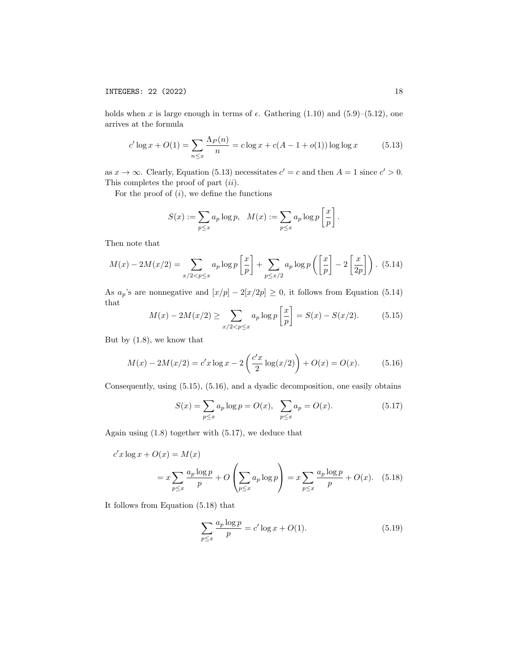holds when x is large enough in terms of  $\epsilon$ . Gathering (1.10) and (5.9)–(5.12), one arrives at the formula

$$
c' \log x + O(1) = \sum_{n \le x} \frac{\Lambda_P(n)}{n} = c \log x + c(A - 1 + o(1)) \log \log x \tag{5.13}
$$

as  $x \to \infty$ . Clearly, Equation (5.13) necessitates  $c' = c$  and then  $A = 1$  since  $c' > 0$ . This completes the proof of part *(ii)*.

For the proof of  $(i)$ , we define the functions

$$
S(x) := \sum_{p \le x} a_p \log p, \quad M(x) := \sum_{p \le x} a_p \log p \left[ \frac{x}{p} \right].
$$

Then note that

$$
M(x) - 2M(x/2) = \sum_{x/2 < p \le x} a_p \log p \left[ \frac{x}{p} \right] + \sum_{p \le x/2} a_p \log p \left( \left[ \frac{x}{p} \right] - 2 \left[ \frac{x}{2p} \right] \right). \tag{5.14}
$$

As  $a_p$ 's are nonnegative and  $[x/p] - 2[x/2p] \geq 0$ , it follows from Equation (5.14) that

$$
M(x) - 2M(x/2) \ge \sum_{x/2 < p \le x} a_p \log p \left[ \frac{x}{p} \right] = S(x) - S(x/2). \tag{5.15}
$$

But by (1.8), we know that

$$
M(x) - 2M(x/2) = c'x \log x - 2\left(\frac{c'x}{2}\log(x/2)\right) + O(x) = O(x). \tag{5.16}
$$

Consequently, using (5.15), (5.16), and a dyadic decomposition, one easily obtains

$$
S(x) = \sum_{p \le x} a_p \log p = O(x), \quad \sum_{p \le x} a_p = O(x). \tag{5.17}
$$

Again using (1.8) together with (5.17), we deduce that

$$
c'x \log x + O(x) = M(x)
$$
  
=  $x \sum_{p \le x} \frac{a_p \log p}{p} + O\left(\sum_{p \le x} a_p \log p\right) = x \sum_{p \le x} \frac{a_p \log p}{p} + O(x).$  (5.18)

It follows from Equation (5.18) that

$$
\sum_{p \le x} \frac{a_p \log p}{p} = c' \log x + O(1).
$$
 (5.19)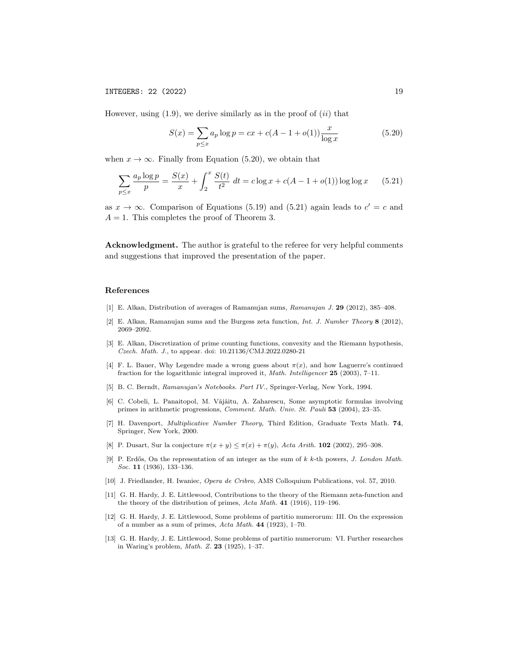However, using  $(1.9)$ , we derive similarly as in the proof of  $(ii)$  that

$$
S(x) = \sum_{p \le x} a_p \log p = cx + c(A - 1 + o(1)) \frac{x}{\log x}
$$
 (5.20)

when  $x \to \infty$ . Finally from Equation (5.20), we obtain that

$$
\sum_{p \le x} \frac{a_p \log p}{p} = \frac{S(x)}{x} + \int_2^x \frac{S(t)}{t^2} dt = c \log x + c(A - 1 + o(1)) \log \log x \qquad (5.21)
$$

as  $x \to \infty$ . Comparison of Equations (5.19) and (5.21) again leads to  $c' = c$  and  $A = 1$ . This completes the proof of Theorem 3.

Acknowledgment. The author is grateful to the referee for very helpful comments and suggestions that improved the presentation of the paper.

#### References

- [1] E. Alkan, Distribution of averages of Ramanujan sums, Ramanujan J. 29 (2012), 385–408.
- [2] E. Alkan, Ramanujan sums and the Burgess zeta function, Int. J. Number Theory 8 (2012), 2069–2092.
- [3] E. Alkan, Discretization of prime counting functions, convexity and the Riemann hypothesis, Czech. Math. J., to appear. doi: 10.21136/CMJ.2022.0280-21
- [4] F. L. Bauer, Why Legendre made a wrong guess about  $\pi(x)$ , and how Laguerre's continued fraction for the logarithmic integral improved it, *Math. Intelligencer* 25 (2003), 7-11.
- [5] B. C. Berndt, Ramanujan's Notebooks. Part IV., Springer-Verlag, New York, 1994.
- [6] C. Cobeli, L. Panaitopol, M. Vâjâitu, A. Zaharescu, Some asymptotic formulas involving primes in arithmetic progressions, Comment. Math. Univ. St. Pauli 53 (2004), 23–35.
- [7] H. Davenport, Multiplicative Number Theory, Third Edition, Graduate Texts Math. 74, Springer, New York, 2000.
- [8] P. Dusart, Sur la conjecture  $\pi(x + y) \leq \pi(x) + \pi(y)$ , Acta Arith. **102** (2002), 295-308.
- [9] P. Erdős, On the representation of an integer as the sum of  $k$  k-th powers, J. London Math. Soc. **11** (1936), 133-136.
- [10] J. Friedlander, H. Iwaniec, Opera de Cribro, AMS Colloquium Publications, vol. 57, 2010.
- [11] G. H. Hardy, J. E. Littlewood, Contributions to the theory of the Riemann zeta-function and the theory of the distribution of primes, Acta Math. 41 (1916), 119–196.
- [12] G. H. Hardy, J. E. Littlewood, Some problems of partitio numerorum: III. On the expression of a number as a sum of primes, Acta Math. 44 (1923), 1–70.
- [13] G. H. Hardy, J. E. Littlewood, Some problems of partitio numerorum: VI. Further researches in Waring's problem, Math. Z. 23 (1925), 1–37.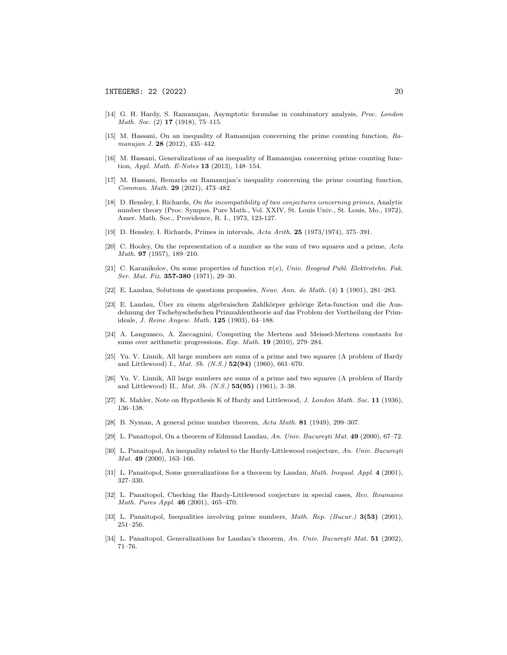- [14] G. H. Hardy, S. Ramanujan, Asymptotic formulae in combinatory analysis, Proc. London Math. Soc. (2) **17** (1918), 75-115.
- [15] M. Hassani, On an inequality of Ramanujan concerning the prime counting function, Ramanujan J. 28 (2012), 435–442.
- [16] M. Hassani, Generalizations of an inequality of Ramanujan concerning prime counting function, *Appl. Math. E-Notes* **13** (2013), 148-154.
- [17] M. Hassani, Remarks on Ramanujan's inequality concerning the prime counting function, Commun. Math. 29 (2021), 473–482.
- [18] D. Hensley, I. Richards, On the incompatibility of two conjectures concerning primes, Analytic number theory (Proc. Sympos. Pure Math., Vol. XXIV, St. Louis Univ., St. Louis, Mo., 1972), Amer. Math. Soc., Providence, R. I., 1973, 123-127.
- [19] D. Hensley, I. Richards, Primes in intervals, Acta Arith. 25 (1973/1974), 375–391.
- [20] C. Hooley, On the representation of a number as the sum of two squares and a prime, Acta Math. 97 (1957), 189–210.
- [21] C. Karanikolov, On some properties of function  $\pi(x)$ , Univ. Beograd Publ. Elektrotehn. Fak. Ser. Mat. Fiz. **357-380** (1971), 29-30.
- [22] E. Landau, Solutions de questions proposées, Nouv. Ann. de Math. (4)  $1$  (1901), 281–283.
- [23] E. Landau, Über zu einem algebraischen Zahlkörper gehörige Zeta-function und die Ausdehnung der Tschebyschefschen Primzahlentheorie auf das Problem der Vertheilung der Primideale, J. Reine Angew. Math. 125 (1903), 64–188.
- [24] A. Languasco, A. Zaccagnini, Computing the Mertens and Meissel-Mertens constants for sums over arithmetic progressions, Exp. Math. 19 (2010), 279–284.
- [25] Yu. V. Linnik, All large numbers are sums of a prime and two squares (A problem of Hardy and Littlewood) I., Mat. Sb. (N.S.) 52(94) (1960), 661–670.
- [26] Yu. V. Linnik, All large numbers are sums of a prime and two squares (A problem of Hardy and Littlewood) II., Mat. Sb. (N.S.) 53(95) (1961), 3–38.
- [27] K. Mahler, Note on Hypothesis K of Hardy and Littlewood, J. London Math. Soc. 11 (1936), 136–138.
- [28] B. Nyman, A general prime number theorem, Acta Math. 81 (1949), 299–307.
- [29] L. Panaitopol, On a theorem of Edmund Landau, An. Univ. București Mat.  $49$  (2000), 67–72.
- [30] L. Panaitopol, An inequality related to the Hardy-Littlewood conjecture, An. Univ. București Mat. 49 (2000), 163-166.
- [31] L. Panaitopol, Some generalizations for a theorem by Landau, Math. Inequal. Appl. 4 (2001), 327–330.
- [32] L. Panaitopol, Checking the Hardy-Littlewood conjecture in special cases, Rev. Roumaine Math. Pures Appl. 46 (2001), 465–470.
- [33] L. Panaitopol, Inequalities involving prime numbers, *Math. Rep. (Bucur.)* 3(53) (2001), 251–256.
- [34] L. Panaitopol, Generalizations for Landau's theorem, An. Univ. București Mat.  $51$  (2002), 71–76.